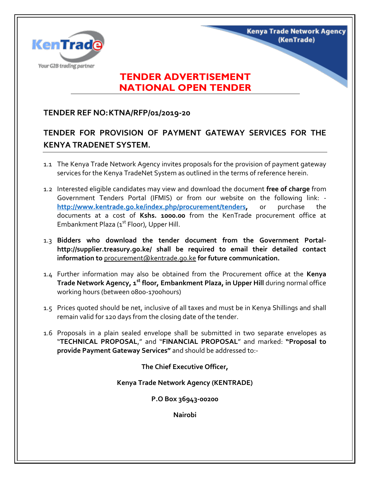

## **TENDER ADVERTISEMENT NATIONAL OPEN TENDER**

**Kenya Trade Network Agency** 

(KenTrade)

## **TENDER REF NO:KTNA/RFP/01/2019-20**

## **TENDER FOR PROVISION OF PAYMENT GATEWAY SERVICES FOR THE KENYA TRADENET SYSTEM.**

- 1.1 The Kenya Trade Network Agency invites proposals for the provision of payment gateway services for the Kenya TradeNet System as outlined in the terms of reference herein.
- 1.2 Interested eligible candidates may view and download the document **free of charge** from Government Tenders Portal (IFMIS) or from our website on the following link: **[http://www.kentrade.go.ke/index.php/procurement/tenders,](http://www.kentrade.go.ke/index.php/procurement/tenders)** or purchase the documents at a cost of **Kshs. 1000.00** from the KenTrade procurement office at Embankment Plaza (1<sup>st</sup> Floor), Upper Hill.
- 1.3 **Bidders who download the tender document from the Government Portalhttp://supplier.treasury.go.ke/ shall be required to email their detailed contact information to** procurement@kentrade.go.ke **for future communication.**
- 1.4 Further information may also be obtained from the Procurement office at the **Kenya Trade Network Agency, 1st floor, Embankment Plaza, in Upper Hill** during normal office working hours (between 0800-1700hours)
- 1.5 Prices quoted should be net, inclusive of all taxes and must be in Kenya Shillings and shall remain valid for 120 days from the closing date of the tender.
- 1.6 Proposals in a plain sealed envelope shall be submitted in two separate envelopes as "**TECHNICAL PROPOSAL**," and "**FINANCIAL PROPOSAL**" and marked: **"Proposal to provide Payment Gateway Services"** and should be addressed to:-

**The Chief Executive Officer,**

**Kenya Trade Network Agency (KENTRADE)**

**P.O Box 36943-00200**

**Nairobi**